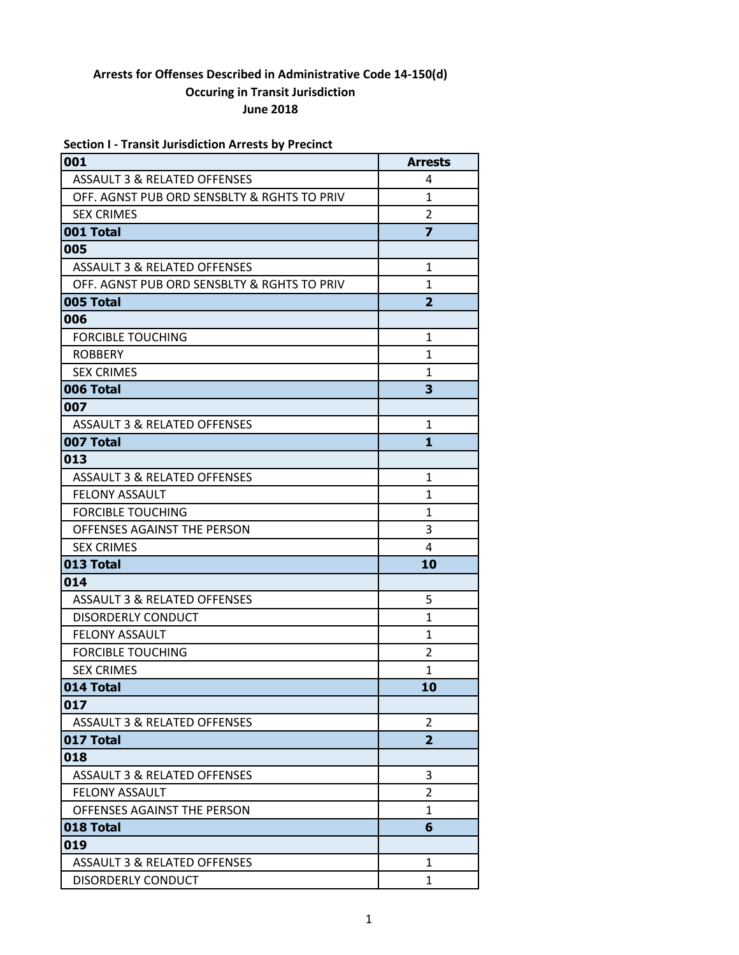|  |  | <b>Section I - Transit Jurisdiction Arrests by Precinct</b> |  |
|--|--|-------------------------------------------------------------|--|
|--|--|-------------------------------------------------------------|--|

| 001                                         | <b>Arrests</b> |
|---------------------------------------------|----------------|
| <b>ASSAULT 3 &amp; RELATED OFFENSES</b>     | 4              |
| OFF. AGNST PUB ORD SENSBLTY & RGHTS TO PRIV | $\mathbf{1}$   |
| <b>SEX CRIMES</b>                           | $\overline{2}$ |
| 001 Total                                   | $\overline{z}$ |
| 005                                         |                |
| <b>ASSAULT 3 &amp; RELATED OFFENSES</b>     | $\mathbf{1}$   |
| OFF. AGNST PUB ORD SENSBLTY & RGHTS TO PRIV | $\mathbf{1}$   |
| 005 Total                                   | $\overline{2}$ |
| 006                                         |                |
| <b>FORCIBLE TOUCHING</b>                    | $\mathbf{1}$   |
| <b>ROBBERY</b>                              | 1              |
| <b>SEX CRIMES</b>                           | 1              |
| 006 Total                                   | 3              |
| 007                                         |                |
| <b>ASSAULT 3 &amp; RELATED OFFENSES</b>     | $\mathbf{1}$   |
| 007 Total                                   | $\mathbf{1}$   |
| 013                                         |                |
| ASSAULT 3 & RELATED OFFENSES                | $\mathbf{1}$   |
| <b>FELONY ASSAULT</b>                       | $\mathbf{1}$   |
| <b>FORCIBLE TOUCHING</b>                    | $\mathbf{1}$   |
| OFFENSES AGAINST THE PERSON                 | 3              |
| <b>SEX CRIMES</b>                           | 4              |
| 013 Total                                   | 10             |
| 014                                         |                |
| <b>ASSAULT 3 &amp; RELATED OFFENSES</b>     | 5              |
| <b>DISORDERLY CONDUCT</b>                   | $\mathbf{1}$   |
| <b>FELONY ASSAULT</b>                       | $\mathbf{1}$   |
| <b>FORCIBLE TOUCHING</b>                    | $\overline{2}$ |
| <b>SEX CRIMES</b>                           | $\mathbf{1}$   |
| 014 Total                                   | 10             |
| 017                                         |                |
| <b>ASSAULT 3 &amp; RELATED OFFENSES</b>     | 2              |
| 017 Total                                   | $\overline{2}$ |
| 018                                         |                |
| <b>ASSAULT 3 &amp; RELATED OFFENSES</b>     | 3              |
| <b>FELONY ASSAULT</b>                       | 2              |
| OFFENSES AGAINST THE PERSON                 | 1              |
| 018 Total                                   | 6              |
| 019                                         |                |
| <b>ASSAULT 3 &amp; RELATED OFFENSES</b>     | 1              |
| <b>DISORDERLY CONDUCT</b>                   | $\mathbf{1}$   |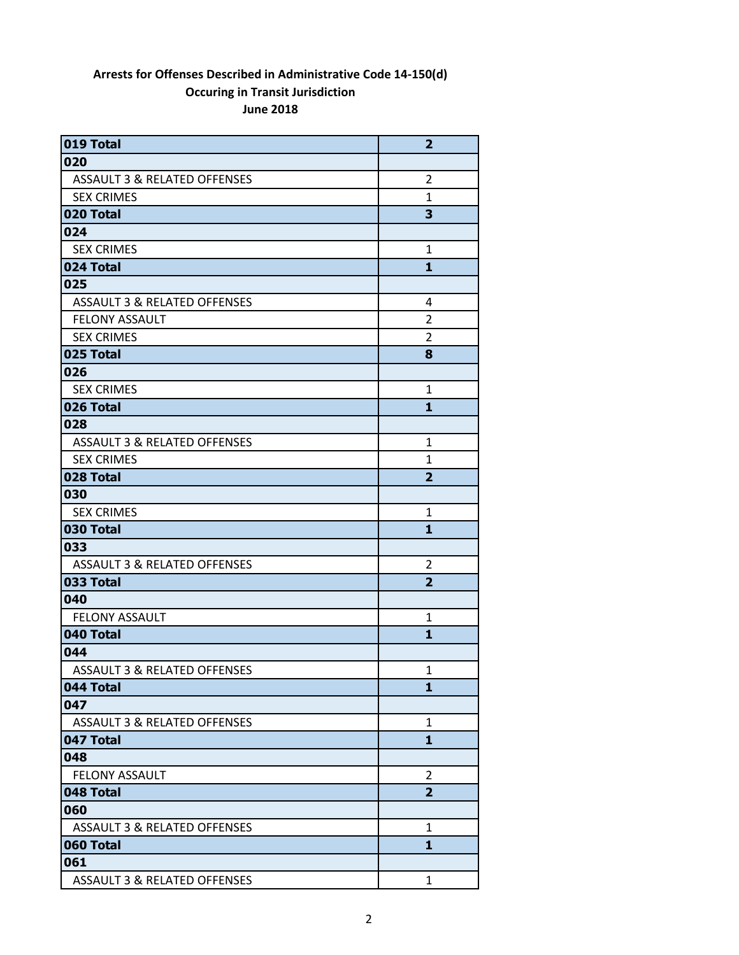| 019 Total                               | $\overline{2}$ |
|-----------------------------------------|----------------|
| 020                                     |                |
| <b>ASSAULT 3 &amp; RELATED OFFENSES</b> | 2              |
| <b>SEX CRIMES</b>                       | $\mathbf{1}$   |
| 020 Total                               | 3              |
| 024                                     |                |
| <b>SEX CRIMES</b>                       | 1              |
| 024 Total                               | $\mathbf{1}$   |
| 025                                     |                |
| <b>ASSAULT 3 &amp; RELATED OFFENSES</b> | 4              |
| <b>FELONY ASSAULT</b>                   | 2              |
| <b>SEX CRIMES</b>                       | $\overline{2}$ |
| 025 Total                               | 8              |
| 026                                     |                |
| <b>SEX CRIMES</b>                       | $\mathbf{1}$   |
| 026 Total                               | 1              |
| 028                                     |                |
| <b>ASSAULT 3 &amp; RELATED OFFENSES</b> | $\mathbf{1}$   |
| <b>SEX CRIMES</b>                       | 1              |
| 028 Total                               | $\overline{2}$ |
| 030                                     |                |
| <b>SEX CRIMES</b>                       | 1              |
| 030 Total                               | $\mathbf{1}$   |
| 033                                     |                |
| <b>ASSAULT 3 &amp; RELATED OFFENSES</b> | 2              |
| 033 Total                               | $\overline{2}$ |
| 040                                     |                |
| <b>FELONY ASSAULT</b>                   | 1              |
| 040 Total                               | 1              |
| 044                                     |                |
| ASSAULT 3 & RELATED OFFENSES            | 1              |
| 044 Total                               | 1              |
| 047                                     |                |
| <b>ASSAULT 3 &amp; RELATED OFFENSES</b> | 1              |
| 047 Total                               | 1              |
| 048                                     |                |
| <b>FELONY ASSAULT</b>                   | $\overline{2}$ |
| 048 Total                               | $\overline{2}$ |
| 060                                     |                |
| <b>ASSAULT 3 &amp; RELATED OFFENSES</b> | $\mathbf{1}$   |
| 060 Total                               | 1              |
| 061                                     |                |
| <b>ASSAULT 3 &amp; RELATED OFFENSES</b> | $\mathbf{1}$   |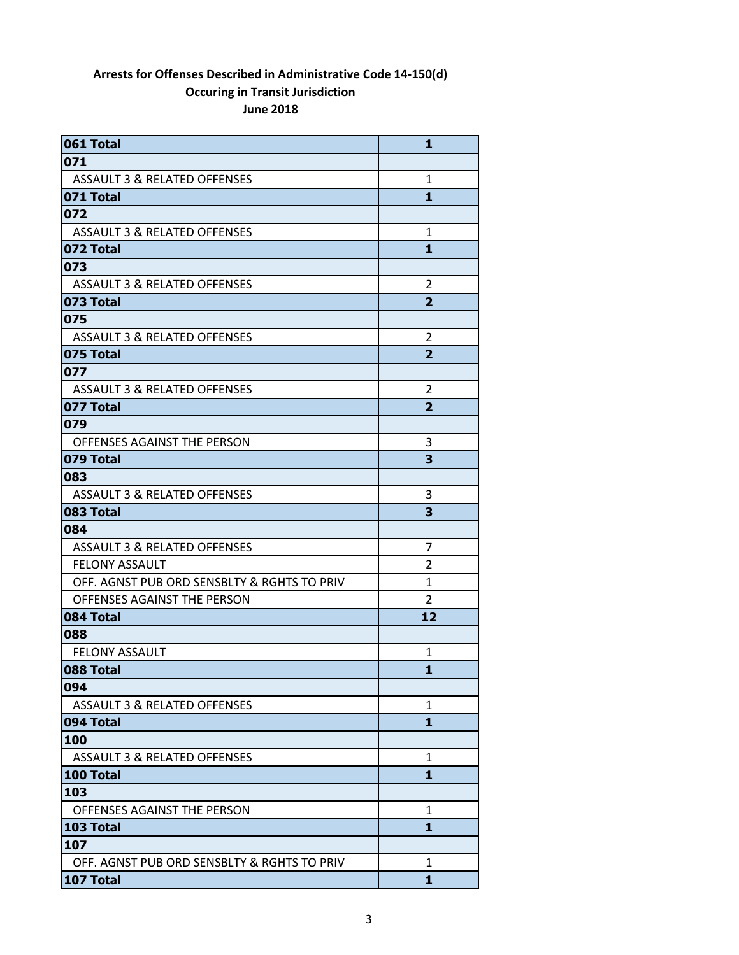| 061 Total                                   | 1              |
|---------------------------------------------|----------------|
| 071                                         |                |
| ASSAULT 3 & RELATED OFFENSES                | 1              |
| 071 Total                                   | 1              |
| 072                                         |                |
| ASSAULT 3 & RELATED OFFENSES                | 1              |
| 072 Total                                   | 1              |
| 073                                         |                |
| <b>ASSAULT 3 &amp; RELATED OFFENSES</b>     | 2              |
| 073 Total                                   | $\overline{2}$ |
| 075                                         |                |
| ASSAULT 3 & RELATED OFFENSES                | 2              |
| 075 Total                                   | $\overline{2}$ |
| 077                                         |                |
| ASSAULT 3 & RELATED OFFENSES                | 2              |
| 077 Total                                   | $\overline{2}$ |
| 079                                         |                |
| OFFENSES AGAINST THE PERSON                 | 3              |
| 079 Total                                   | 3              |
| 083                                         |                |
| <b>ASSAULT 3 &amp; RELATED OFFENSES</b>     | 3              |
| 083 Total                                   | 3              |
| 084                                         |                |
| ASSAULT 3 & RELATED OFFENSES                | 7              |
| <b>FELONY ASSAULT</b>                       | 2              |
| OFF. AGNST PUB ORD SENSBLTY & RGHTS TO PRIV | $\mathbf{1}$   |
| OFFENSES AGAINST THE PERSON                 | 2              |
| 084 Total                                   | 12             |
| 088                                         |                |
| <b>FELONY ASSAULT</b>                       | 1              |
| 088 Total                                   | 1              |
| 094                                         |                |
| ASSAULT 3 & RELATED OFFENSES                | 1              |
| 094 Total                                   | $\mathbf{1}$   |
| 100                                         |                |
| ASSAULT 3 & RELATED OFFENSES                | 1              |
| 100 Total                                   | 1              |
| 103                                         |                |
| OFFENSES AGAINST THE PERSON                 | 1              |
| 103 Total                                   | 1              |
| 107                                         |                |
| OFF. AGNST PUB ORD SENSBLTY & RGHTS TO PRIV | 1              |
| 107 Total                                   | $\mathbf{1}$   |